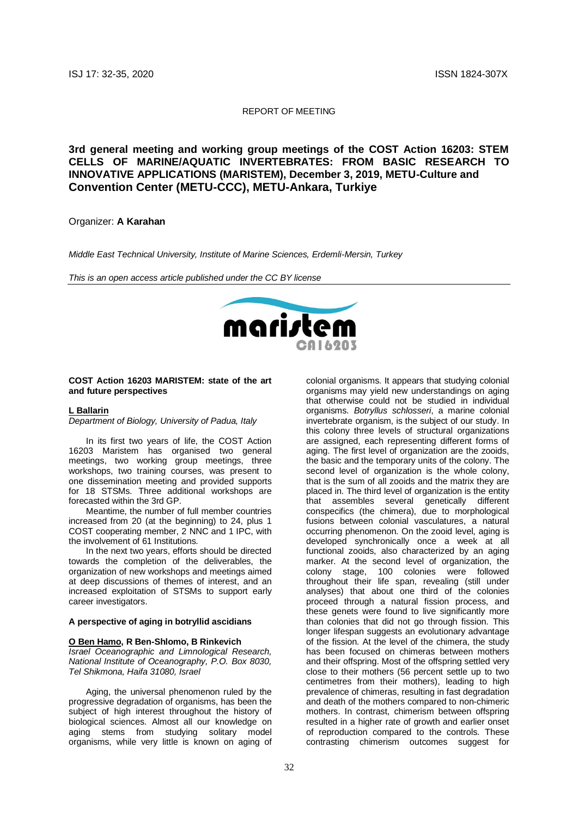#### REPORT OF MEETING

**3rd general meeting and working group meetings of the COST Action 16203: STEM CELLS OF MARINE/AQUATIC INVERTEBRATES: FROM BASIC RESEARCH TO INNOVATIVE APPLICATIONS (MARISTEM), December 3, 2019, METU-Culture and Convention Center (METU-CCC), METU-Ankara, Turkiye**

## Organizer: **A Karahan**

*Middle East Technical University, Institute of Marine Sciences, Erdemli-Mersin, Turkey*

*This is an open access article published under the CC BY license*



#### **COST Action 16203 MARISTEM: state of the art and future perspectives**

#### **L Ballarin**

*Department of Biology, University of Padua, Italy*

In its first two years of life, the COST Action 16203 Maristem has organised two general meetings, two working group meetings, three workshops, two training courses, was present to one dissemination meeting and provided supports for 18 STSMs. Three additional workshops are forecasted within the 3rd GP.

Meantime, the number of full member countries increased from 20 (at the beginning) to 24, plus 1 COST cooperating member, 2 NNC and 1 IPC, with the involvement of 61 Institutions.

In the next two years, efforts should be directed towards the completion of the deliverables, the organization of new workshops and meetings aimed at deep discussions of themes of interest, and an increased exploitation of STSMs to support early career investigators.

## **A perspective of aging in botryllid ascidians**

#### **O Ben Hamo, R Ben-Shlomo, B Rinkevich**

*Israel Oceanographic and Limnological Research, National Institute of Oceanography, P.O. Box 8030, Tel Shikmona, Haifa 31080, Israel*

Aging, the universal phenomenon ruled by the progressive degradation of organisms, has been the subject of high interest throughout the history of biological sciences. Almost all our knowledge on aging stems from studying solitary model organisms, while very little is known on aging of colonial organisms. It appears that studying colonial organisms may yield new understandings on aging that otherwise could not be studied in individual organisms. *Botryllus schlosseri*, a marine colonial invertebrate organism, is the subject of our study. In this colony three levels of structural organizations are assigned, each representing different forms of aging. The first level of organization are the zooids, the basic and the temporary units of the colony. The second level of organization is the whole colony. that is the sum of all zooids and the matrix they are placed in. The third level of organization is the entity that assembles several genetically different conspecifics (the chimera), due to morphological fusions between colonial vasculatures, a natural occurring phenomenon. On the zooid level, aging is developed synchronically once a week at all functional zooids, also characterized by an aging marker. At the second level of organization, the colony stage, 100 colonies were followed throughout their life span, revealing (still under analyses) that about one third of the colonies proceed through a natural fission process, and these genets were found to live significantly more than colonies that did not go through fission. This longer lifespan suggests an evolutionary advantage of the fission. At the level of the chimera, the study has been focused on chimeras between mothers and their offspring. Most of the offspring settled very close to their mothers (56 percent settle up to two centimetres from their mothers), leading to high prevalence of chimeras, resulting in fast degradation and death of the mothers compared to non-chimeric mothers. In contrast, chimerism between offspring resulted in a higher rate of growth and earlier onset of reproduction compared to the controls. These contrasting chimerism outcomes suggest for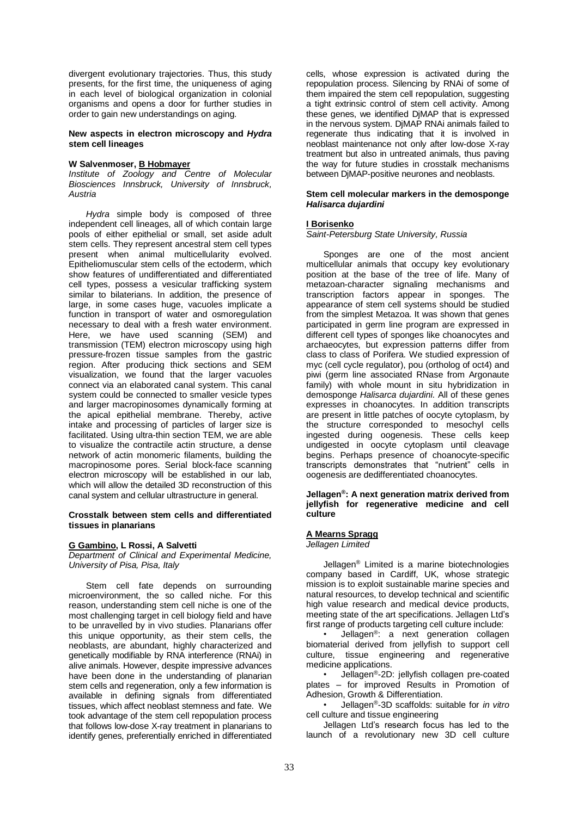divergent evolutionary trajectories. Thus, this study presents, for the first time, the uniqueness of aging in each level of biological organization in colonial organisms and opens a door for further studies in order to gain new understandings on aging.

#### **New aspects in electron microscopy and** *Hydra* **stem cell lineages**

## **W Salvenmoser, B Hobmayer**

*Institute of Zoology and Centre of Molecular Biosciences Innsbruck, University of Innsbruck, Austria*

*Hydra* simple body is composed of three independent cell lineages, all of which contain large pools of either epithelial or small, set aside adult stem cells. They represent ancestral stem cell types present when animal multicellularity evolved. Epitheliomuscular stem cells of the ectoderm, which show features of undifferentiated and differentiated cell types, possess a vesicular trafficking system similar to bilaterians. In addition, the presence of large, in some cases huge, vacuoles implicate a function in transport of water and osmoregulation necessary to deal with a fresh water environment. Here, we have used scanning (SEM) and transmission (TEM) electron microscopy using high pressure-frozen tissue samples from the gastric region. After producing thick sections and SEM visualization, we found that the larger vacuoles connect via an elaborated canal system. This canal system could be connected to smaller vesicle types and larger macropinosomes dynamically forming at the apical epithelial membrane. Thereby, active intake and processing of particles of larger size is facilitated. Using ultra-thin section TEM, we are able to visualize the contractile actin structure, a dense network of actin monomeric filaments, building the macropinosome pores. Serial block-face scanning electron microscopy will be established in our lab, which will allow the detailed 3D reconstruction of this canal system and cellular ultrastructure in general.

#### **Crosstalk between stem cells and differentiated tissues in planarians**

# **G Gambino, L Rossi, A Salvetti**

*Department of Clinical and Experimental Medicine, University of Pisa, Pisa, Italy*

Stem cell fate depends on surrounding microenvironment, the so called niche. For this reason, understanding stem cell niche is one of the most challenging target in cell biology field and have to be unravelled by in vivo studies. Planarians offer this unique opportunity, as their stem cells, the neoblasts, are abundant, highly characterized and genetically modifiable by RNA interference (RNAi) in alive animals. However, despite impressive advances have been done in the understanding of planarian stem cells and regeneration, only a few information is available in defining signals from differentiated tissues, which affect neoblast stemness and fate. We took advantage of the stem cell repopulation process that follows low-dose X-ray treatment in planarians to identify genes, preferentially enriched in differentiated cells, whose expression is activated during the repopulation process. Silencing by RNAi of some of them impaired the stem cell repopulation, suggesting a tight extrinsic control of stem cell activity. Among these genes, we identified DjMAP that is expressed in the nervous system. DjMAP RNAi animals failed to regenerate thus indicating that it is involved in neoblast maintenance not only after low-dose X-ray treatment but also in untreated animals, thus paving the way for future studies in crosstalk mechanisms between DjMAP-positive neurones and neoblasts.

#### **Stem cell molecular markers in the demosponge**  *Halisarca dujardini*

## **I Borisenko**

*Saint-Petersburg State University, Russia*

Sponges are one of the most ancient multicellular animals that occupy key evolutionary position at the base of the tree of life. Many of metazoan-character signaling mechanisms and transcription factors appear in sponges. The appearance of stem cell systems should be studied from the simplest Metazoa. It was shown that genes participated in germ line program are expressed in different cell types of sponges like choanocytes and archaeocytes, but expression patterns differ from class to class of Porifera. We studied expression of myc (cell cycle regulator), pou (ortholog of oct4) and piwi (germ line associated RNase from Argonaute family) with whole mount in situ hybridization in demosponge *Halisarca dujardini*. All of these genes expresses in choanocytes. In addition transcripts are present in little patches of oocyte cytoplasm, by the structure corresponded to mesochyl cells ingested during oogenesis. These cells keep undigested in oocyte cytoplasm until cleavage begins. Perhaps presence of choanocyte-specific transcripts demonstrates that "nutrient" cells in oogenesis are dedifferentiated choanocytes.

#### **Jellagen®: A next generation matrix derived from jellyfish for regenerative medicine and cell culture**

#### **A Mearns Spragg** *Jellagen Limited*

Jellagen® Limited is a marine biotechnologies company based in Cardiff, UK, whose strategic mission is to exploit sustainable marine species and natural resources, to develop technical and scientific high value research and medical device products. meeting state of the art specifications. Jellagen Ltd's first range of products targeting cell culture include:

Jellagen<sup>®</sup>: a next generation collagen biomaterial derived from jellyfish to support cell culture, tissue engineering and regenerative medicine applications.

• Jellagen®-2D: jellyfish collagen pre-coated plates – for improved Results in Promotion of Adhesion, Growth & Differentiation.

• Jellagen®-3D scaffolds: suitable for *in vitro* cell culture and tissue engineering

Jellagen Ltd's research focus has led to the launch of a revolutionary new 3D cell culture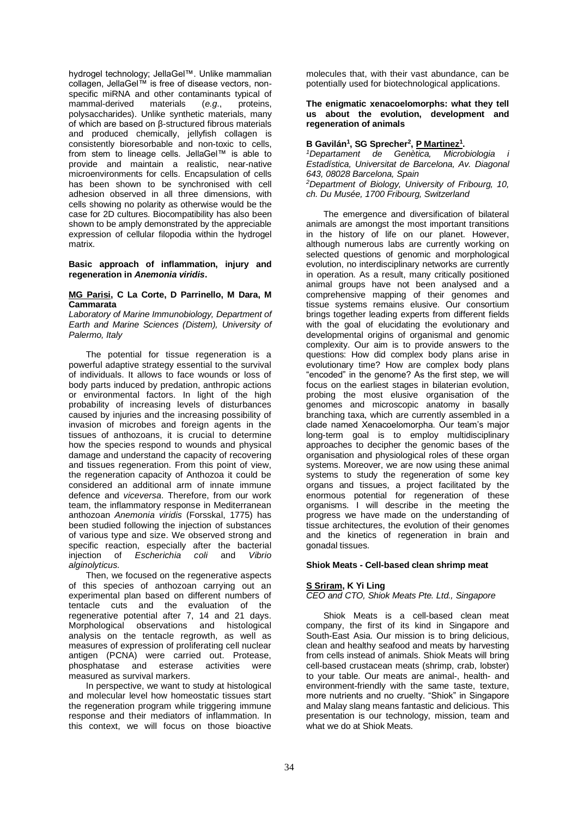hydrogel technology; JellaGel™. Unlike mammalian collagen, JellaGel™ is free of disease vectors, nonspecific miRNA and other contaminants typical of mammal-derived materials (e.g., proteins, polysaccharides). Unlike synthetic materials, many of which are based on β-structured fibrous materials and produced chemically, jellyfish collagen is consistently bioresorbable and non-toxic to cells, from stem to lineage cells. JellaGel™ is able to provide and maintain a realistic, near-native microenvironments for cells. Encapsulation of cells has been shown to be synchronised with cell adhesion observed in all three dimensions, with cells showing no polarity as otherwise would be the case for 2D cultures. Biocompatibility has also been shown to be amply demonstrated by the appreciable expression of cellular filopodia within the hydrogel matrix.

**Basic approach of inflammation, injury and regeneration in** *Anemonia viridis***.** 

#### **MG Parisi, C La Corte, D Parrinello, M Dara, M Cammarata**

*Laboratory of Marine Immunobiology, Department of Earth and Marine Sciences (Distem), University of Palermo, Italy*

The potential for tissue regeneration is a powerful adaptive strategy essential to the survival of individuals. It allows to face wounds or loss of body parts induced by predation, anthropic actions or environmental factors. In light of the high probability of increasing levels of disturbances caused by injuries and the increasing possibility of invasion of microbes and foreign agents in the tissues of anthozoans, it is crucial to determine how the species respond to wounds and physical damage and understand the capacity of recovering and tissues regeneration. From this point of view, the regeneration capacity of Anthozoa it could be considered an additional arm of innate immune defence and *viceversa*. Therefore, from our work team, the inflammatory response in Mediterranean anthozoan *Anemonia viridis* (Forsskal, 1775) has been studied following the injection of substances of various type and size. We observed strong and specific reaction, especially after the bacterial<br>injection of *Escherichia coli* and *Vibrio*  $Escherichia$  coli and *alginolyticus.*

Then, we focused on the regenerative aspects of this species of anthozoan carrying out an experimental plan based on different numbers of tentacle cuts and the evaluation of the regenerative potential after 7, 14 and 21 days. Morphological observations and histological analysis on the tentacle regrowth, as well as measures of expression of proliferating cell nuclear antigen (PCNA) were carried out. Protease, phosphatase and esterase activities were measured as survival markers.

In perspective, we want to study at histological and molecular level how homeostatic tissues start the regeneration program while triggering immune response and their mediators of inflammation. In this context, we will focus on those bioactive

molecules that, with their vast abundance, can be potentially used for biotechnological applications.

## **The enigmatic xenacoelomorphs: what they tell us about the evolution, development and regeneration of animals**

## **B Gavilán<sup>1</sup> , SG Sprecher<sup>2</sup> , P Martinez<sup>1</sup> .**

*<sup>1</sup>Departament de Genètica, Microbiologia i Estadística, Universitat de Barcelona, Av. Diagonal 643, 08028 Barcelona, Spain <sup>2</sup>Department of Biology, University of Fribourg, 10, ch. Du Musée, 1700 Fribourg, Switzerland*

The emergence and diversification of bilateral animals are amongst the most important transitions in the history of life on our planet. However, although numerous labs are currently working on selected questions of genomic and morphological evolution, no interdisciplinary networks are currently in operation. As a result, many critically positioned animal groups have not been analysed and a comprehensive mapping of their genomes and tissue systems remains elusive. Our consortium brings together leading experts from different fields with the goal of elucidating the evolutionary and developmental origins of organismal and genomic complexity. Our aim is to provide answers to the questions: How did complex body plans arise in evolutionary time? How are complex body plans "encoded" in the genome? As the first step, we will focus on the earliest stages in bilaterian evolution, probing the most elusive organisation of the genomes and microscopic anatomy in basally branching taxa, which are currently assembled in a clade named Xenacoelomorpha. Our team's major long-term goal is to employ multidisciplinary approaches to decipher the genomic bases of the organisation and physiological roles of these organ systems. Moreover, we are now using these animal systems to study the regeneration of some key organs and tissues, a project facilitated by the enormous potential for regeneration of these organisms. I will describe in the meeting the progress we have made on the understanding of tissue architectures, the evolution of their genomes and the kinetics of regeneration in brain and gonadal tissues.

## **Shiok Meats - Cell-based clean shrimp meat**

# **S Sriram, K Yi Ling**

## *CEO and CTO, Shiok Meats Pte. Ltd., Singapore*

Shiok Meats is a cell-based clean meat company, the first of its kind in Singapore and South-East Asia. Our mission is to bring delicious, clean and healthy seafood and meats by harvesting from cells instead of animals. Shiok Meats will bring cell-based crustacean meats (shrimp, crab, lobster) to your table. Our meats are animal-, health- and environment-friendly with the same taste, texture, more nutrients and no cruelty. "Shiok" in Singapore and Malay slang means fantastic and delicious. This presentation is our technology, mission, team and what we do at Shiok Meats.